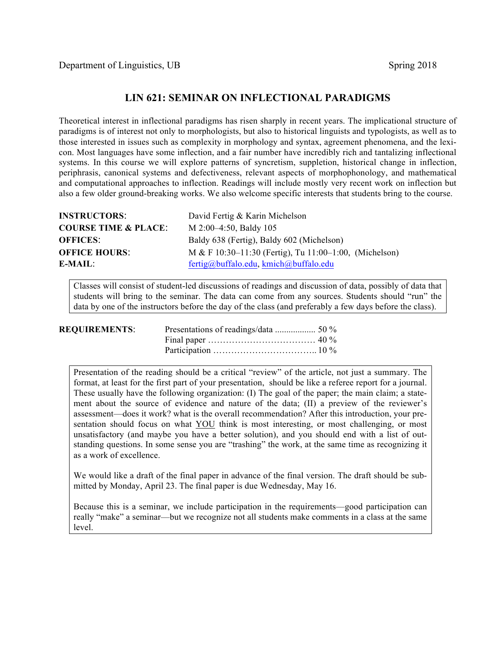## **LIN 621: SEMINAR ON INFLECTIONAL PARADIGMS**

Theoretical interest in inflectional paradigms has risen sharply in recent years. The implicational structure of paradigms is of interest not only to morphologists, but also to historical linguists and typologists, as well as to those interested in issues such as complexity in morphology and syntax, agreement phenomena, and the lexicon. Most languages have some inflection, and a fair number have incredibly rich and tantalizing inflectional systems. In this course we will explore patterns of syncretism, suppletion, historical change in inflection, periphrasis, canonical systems and defectiveness, relevant aspects of morphophonology, and mathematical and computational approaches to inflection. Readings will include mostly very recent work on inflection but also a few older ground-breaking works. We also welcome specific interests that students bring to the course.

| <b>INSTRUCTORS:</b>             | David Fertig & Karin Michelson                              |
|---------------------------------|-------------------------------------------------------------|
| <b>COURSE TIME &amp; PLACE:</b> | M 2:00–4:50, Baldy 105                                      |
| <b>OFFICES:</b>                 | Baldy 638 (Fertig), Baldy 602 (Michelson)                   |
| <b>OFFICE HOURS:</b>            | M & F $10:30-11:30$ (Fertig), Tu $11:00-1:00$ , (Michelson) |
| E-MAIL:                         | fertig@buffalo.edu, kmich@buffalo.edu                       |

Classes will consist of student-led discussions of readings and discussion of data, possibly of data that students will bring to the seminar. The data can come from any sources. Students should "run" the data by one of the instructors before the day of the class (and preferably a few days before the class).

| <b>REQUIREMENTS:</b> |  |
|----------------------|--|
|                      |  |
|                      |  |

Presentation of the reading should be a critical "review" of the article, not just a summary. The format, at least for the first part of your presentation, should be like a referee report for a journal. These usually have the following organization: (I) The goal of the paper; the main claim; a statement about the source of evidence and nature of the data; (II) a preview of the reviewer's assessment—does it work? what is the overall recommendation? After this introduction, your presentation should focus on what YOU think is most interesting, or most challenging, or most unsatisfactory (and maybe you have a better solution), and you should end with a list of outstanding questions. In some sense you are "trashing" the work, at the same time as recognizing it as a work of excellence.

We would like a draft of the final paper in advance of the final version. The draft should be submitted by Monday, April 23. The final paper is due Wednesday, May 16.

Because this is a seminar, we include participation in the requirements—good participation can really "make" a seminar—but we recognize not all students make comments in a class at the same level.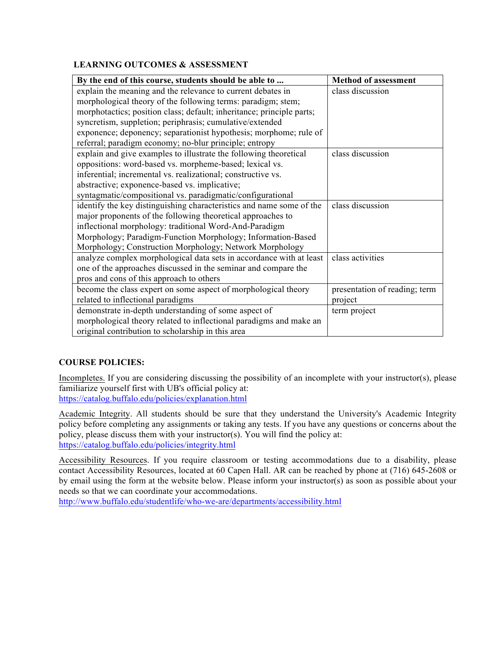## **LEARNING OUTCOMES & ASSESSMENT**

| By the end of this course, students should be able to                 | <b>Method of assessment</b>   |
|-----------------------------------------------------------------------|-------------------------------|
| explain the meaning and the relevance to current debates in           | class discussion              |
| morphological theory of the following terms: paradigm; stem;          |                               |
| morphotactics; position class; default; inheritance; principle parts; |                               |
| syncretism, suppletion; periphrasis; cumulative/extended              |                               |
| exponence; deponency; separationist hypothesis; morphome; rule of     |                               |
| referral; paradigm economy; no-blur principle; entropy                |                               |
| explain and give examples to illustrate the following theoretical     | class discussion              |
| oppositions: word-based vs. morpheme-based; lexical vs.               |                               |
| inferential; incremental vs. realizational; constructive vs.          |                               |
| abstractive; exponence-based vs. implicative;                         |                               |
| syntagmatic/compositional vs. paradigmatic/configurational            |                               |
| identify the key distinguishing characteristics and name some of the  | class discussion              |
| major proponents of the following theoretical approaches to           |                               |
| inflectional morphology: traditional Word-And-Paradigm                |                               |
| Morphology; Paradigm-Function Morphology; Information-Based           |                               |
| Morphology; Construction Morphology; Network Morphology               |                               |
| analyze complex morphological data sets in accordance with at least   | class activities              |
| one of the approaches discussed in the seminar and compare the        |                               |
| pros and cons of this approach to others                              |                               |
| become the class expert on some aspect of morphological theory        | presentation of reading; term |
| related to inflectional paradigms                                     | project                       |
| demonstrate in-depth understanding of some aspect of                  | term project                  |
| morphological theory related to inflectional paradigms and make an    |                               |
| original contribution to scholarship in this area                     |                               |

## **COURSE POLICIES:**

Incompletes. If you are considering discussing the possibility of an incomplete with your instructor(s), please familiarize yourself first with UB's official policy at: https://catalog.buffalo.edu/policies/explanation.html

Academic Integrity. All students should be sure that they understand the University's Academic Integrity policy before completing any assignments or taking any tests. If you have any questions or concerns about the policy, please discuss them with your instructor(s). You will find the policy at: https://catalog.buffalo.edu/policies/integrity.html

Accessibility Resources. If you require classroom or testing accommodations due to a disability, please contact Accessibility Resources, located at 60 Capen Hall. AR can be reached by phone at (716) 645-2608 or by email using the form at the website below. Please inform your instructor(s) as soon as possible about your needs so that we can coordinate your accommodations.

http://www.buffalo.edu/studentlife/who-we-are/departments/accessibility.html